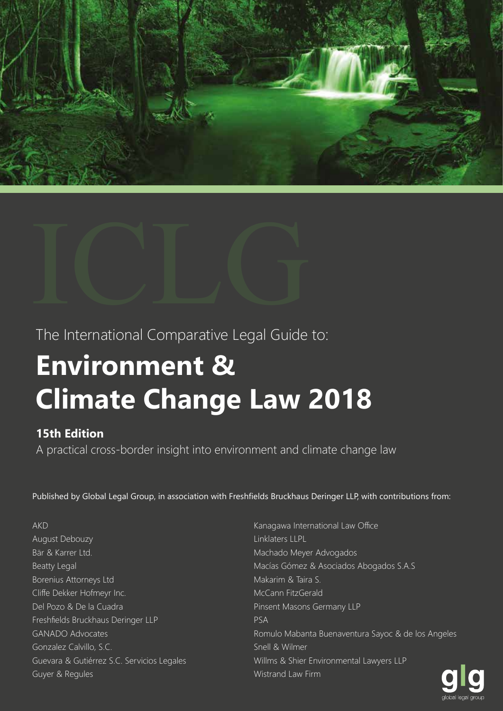



The International Comparative Legal Guide to:

## **Environment & Climate Change Law 2018**

## **15th Edition**

A practical cross-border insight into environment and climate change law

Published by Global Legal Group, in association with Freshfields Bruckhaus Deringer LLP, with contributions from:

AKD

- August Debouzy Bär & Karrer Ltd. Beatty Legal Borenius Attorneys Ltd Cliffe Dekker Hofmeyr Inc. Del Pozo & De la Cuadra Freshfields Bruckhaus Deringer LLP GANADO Advocates Gonzalez Calvillo, S.C. Guevara & Gutiérrez S.C. Servicios Legales Guyer & Regules
- Kanagawa International Law Office Linklaters LLPL Machado Meyer Advogados Macías Gómez & Asociados Abogados S.A.S Makarim & Taira S. McCann FitzGerald Pinsent Masons Germany LLP PSA Romulo Mabanta Buenaventura Sayoc & de los Angeles Snell & Wilmer Willms & Shier Environmental Lawyers LLP Wistrand Law Firm

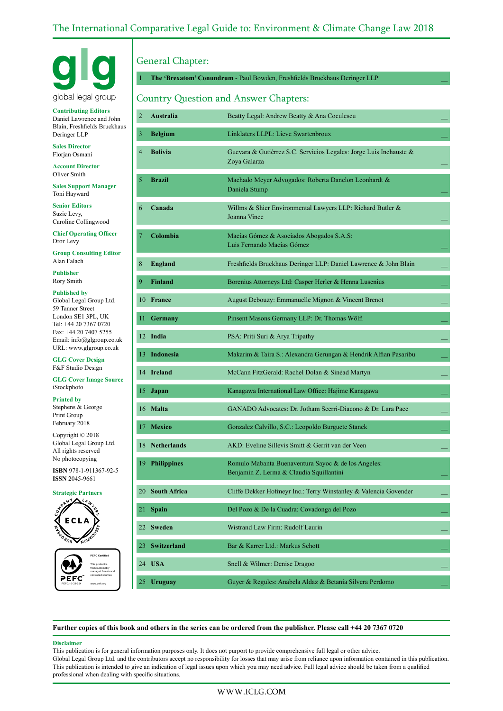## The International Comparative Legal Guide to: Environment & Climate Change Law 2018



**Contributing Editors** Daniel Lawrence and John Blain, Freshfields Bruckhaus Deringer LLP

**Sales Director** Florjan Osmani

**Account Director** Oliver Smith

**Sales Support Manager** Toni Hayward

**Senior Editors** Suzie Levy, Caroline Collingwood

**Chief Operating Officer** Dror Levy

**Group Consulting Editor** Alan Falach

**Publisher** Rory Smith

**Published by** Global Legal Group Ltd. 59 Tanner Street London SE1 3PL, UK Tel: +44 20 7367 0720 Fax: +44 20 7407 5255 Email: info@glgroup.co.uk URL: www.glgroup.co.uk

**GLG Cover Design** F&F Studio Design

**GLG Cover Image Source** iStockphoto

**Printed by**

Stephens & George Print Group February 2018

Copyright © 2018 Global Legal Group Ltd. All rights reserved No photocopying

**ISBN** 978-1-911367-92-5 **ISSN** 2045-9661

#### **Strategic Partners**



PEFC/16-33-254 **PEFC Certified** This product is from sustainably managed forests and controlled sources www.pefc.org

## General Chapter:

1 **The 'Brexatom' Conundrum** - Paul Bowden, Freshfields Bruckhaus Deringer LLP \_\_

## Country Question and Answer Chapters:

| $\overline{2}$ | <b>Australia</b>   | Beatty Legal: Andrew Beatty & Ana Coculescu                                                     |
|----------------|--------------------|-------------------------------------------------------------------------------------------------|
| 3              | <b>Belgium</b>     | Linklaters LLPL: Lieve Swartenbroux                                                             |
| 4              | <b>Bolivia</b>     | Guevara & Gutiérrez S.C. Servicios Legales: Jorge Luis Inchauste &<br>Zoya Galarza              |
| 5              | <b>Brazil</b>      | Machado Meyer Advogados: Roberta Danelon Leonhardt &<br>Daniela Stump                           |
| 6              | Canada             | Willms & Shier Environmental Lawyers LLP: Richard Butler &<br>Joanna Vince                      |
| $\overline{7}$ | Colombia           | Macías Gómez & Asociados Abogados S.A.S:<br>Luis Fernando Macías Gómez                          |
| 8              | <b>England</b>     | Freshfields Bruckhaus Deringer LLP: Daniel Lawrence & John Blain                                |
| 9              | <b>Finland</b>     | Borenius Attorneys Ltd: Casper Herler & Henna Lusenius                                          |
| 10             | France             | August Debouzy: Emmanuelle Mignon & Vincent Brenot                                              |
| 11             | <b>Germany</b>     | Pinsent Masons Germany LLP: Dr. Thomas Wölfl                                                    |
|                | 12 India           | PSA: Priti Suri & Arya Tripathy                                                                 |
|                | 13 Indonesia       | Makarim & Taira S.: Alexandra Gerungan & Hendrik Alfian Pasaribu                                |
|                | 14 Ireland         | McCann FitzGerald: Rachel Dolan & Sinéad Martyn                                                 |
| 15             | Japan              | Kanagawa International Law Office: Hajime Kanagawa                                              |
|                | 16 Malta           | GANADO Advocates: Dr. Jotham Scerri-Diacono & Dr. Lara Pace                                     |
| 17.            | <b>Mexico</b>      | Gonzalez Calvillo, S.C.: Leopoldo Burguete Stanek                                               |
|                | 18 Netherlands     | AKD: Eveline Sillevis Smitt & Gerrit van der Veen                                               |
|                | 19 Philippines     | Romulo Mabanta Buenaventura Sayoc & de los Angeles:<br>Benjamin Z. Lerma & Claudia Squillantini |
|                | 20 South Africa    | Cliffe Dekker Hofmeyr Inc.: Terry Winstanley & Valencia Govender                                |
| 21             | <b>Spain</b>       | Del Pozo & De la Cuadra: Covadonga del Pozo                                                     |
| 22             | <b>Sweden</b>      | Wistrand Law Firm: Rudolf Laurin                                                                |
| 23             | <b>Switzerland</b> | Bär & Karrer Ltd.: Markus Schott                                                                |
| 24             | <b>USA</b>         | Snell & Wilmer: Denise Dragoo                                                                   |
|                | 25 Uruguay         | Guyer & Regules: Anabela Aldaz & Betania Silvera Perdomo                                        |

**Further copies of this book and others in the series can be ordered from the publisher. Please call +44 20 7367 0720**

#### **Disclaimer**

This publication is for general information purposes only. It does not purport to provide comprehensive full legal or other advice. Global Legal Group Ltd. and the contributors accept no responsibility for losses that may arise from reliance upon information contained in this publication. This publication is intended to give an indication of legal issues upon which you may need advice. Full legal advice should be taken from a qualified professional when dealing with specific situations.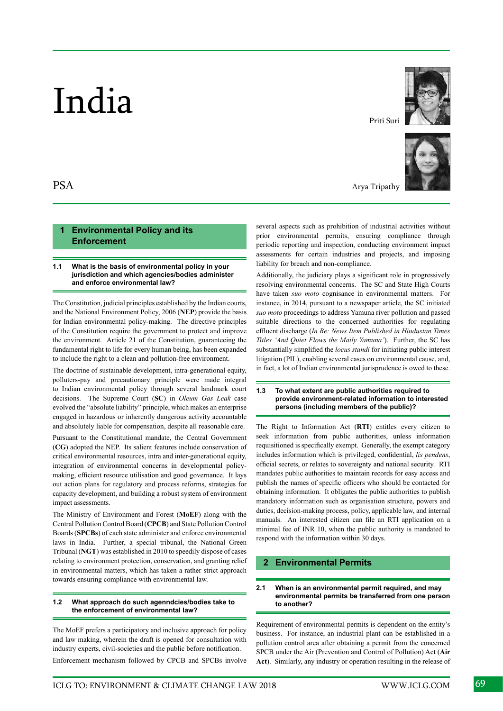# India

## **1 Environmental Policy and its Enforcement**

#### **1.1 What is the basis of environmental policy in your jurisdiction and which agencies/bodies administer and enforce environmental law?**

The Constitution, judicial principles established by the Indian courts, and the National Environment Policy, 2006 (**NEP**) provide the basis for Indian environmental policy-making. The directive principles of the Constitution require the government to protect and improve the environment. Article 21 of the Constitution, guaranteeing the fundamental right to life for every human being, has been expanded to include the right to a clean and pollution-free environment.

The doctrine of sustainable development, intra-generational equity, polluters-pay and precautionary principle were made integral to Indian environmental policy through several landmark court decisions. The Supreme Court (**SC**) in *Oleum Gas Leak* case evolved the "absolute liability" principle, which makes an enterprise engaged in hazardous or inherently dangerous activity accountable and absolutely liable for compensation, despite all reasonable care.

Pursuant to the Constitutional mandate, the Central Government (**CG**) adopted the NEP. Its salient features include conservation of critical environmental resources, intra and inter-generational equity, integration of environmental concerns in developmental policymaking, efficient resource utilisation and good governance. It lays out action plans for regulatory and process reforms, strategies for capacity development, and building a robust system of environment impact assessments.

The Ministry of Environment and Forest (**MoEF**) along with the Central Pollution Control Board (**CPCB**) and State Pollution Control Boards (**SPCBs**) of each state administer and enforce environmental laws in India. Further, a special tribunal, the National Green Tribunal (**NGT**) was established in 2010 to speedily dispose of cases relating to environment protection, conservation, and granting relief in environmental matters, which has taken a rather strict approach towards ensuring compliance with environmental law.

#### **1.2 What approach do such agenndcies/bodies take to the enforcement of environmental law?**

The MoEF prefers a participatory and inclusive approach for policy and law making, wherein the draft is opened for consultation with industry experts, civil-societies and the public before notification. Enforcement mechanism followed by CPCB and SPCBs involve Priti Suri



Arya Tripathy

several aspects such as prohibition of industrial activities without prior environmental permits, ensuring compliance through periodic reporting and inspection, conducting environment impact assessments for certain industries and projects, and imposing liability for breach and non-compliance.

Additionally, the judiciary plays a significant role in progressively resolving environmental concerns. The SC and State High Courts have taken *suo moto* cognisance in environmental matters. For instance, in 2014, pursuant to a newspaper article, the SC initiated *suo moto* proceedings to address Yamuna river pollution and passed suitable directions to the concerned authorities for regulating effluent discharge (*In Re: News Item Published in Hindustan Times Titles 'And Quiet Flows the Maily Yamuna'*). Further, the SC has substantially simplified the *locus standi* for initiating public interest litigation (PIL), enabling several cases on environmental cause, and, in fact, a lot of Indian environmental jurisprudence is owed to these.

#### **1.3 To what extent are public authorities required to provide environment-related information to interested persons (including members of the public)?**

The Right to Information Act (**RTI**) entitles every citizen to seek information from public authorities, unless information requisitioned is specifically exempt. Generally, the exempt category includes information which is privileged, confidential, *lis pendens*, official secrets, or relates to sovereignty and national security. RTI mandates public authorities to maintain records for easy access and publish the names of specific officers who should be contacted for obtaining information. It obligates the public authorities to publish mandatory information such as organisation structure, powers and duties, decision-making process, policy, applicable law, and internal manuals. An interested citizen can file an RTI application on a minimal fee of INR 10, when the public authority is mandated to respond with the information within 30 days.

## **2 Environmental Permits**

#### **2.1 When is an environmental permit required, and may environmental permits be transferred from one person to another?**

Requirement of environmental permits is dependent on the entity's business. For instance, an industrial plant can be established in a pollution control area after obtaining a permit from the concerned SPCB under the Air (Prevention and Control of Pollution) Act (**Air Act**). Similarly, any industry or operation resulting in the release of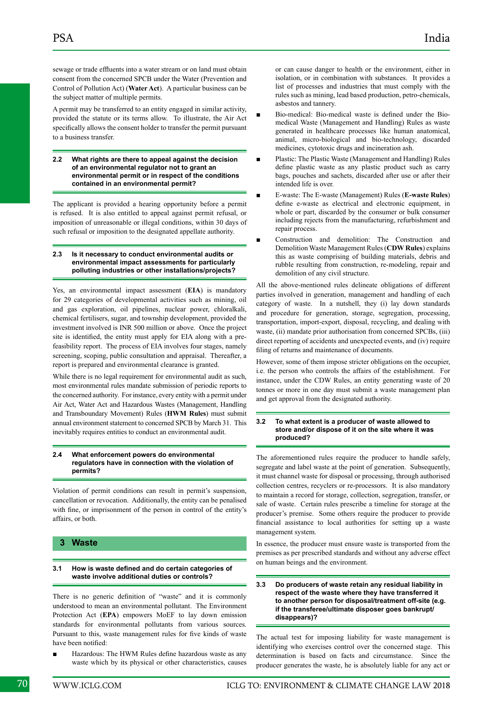sewage or trade effluents into a water stream or on land must obtain consent from the concerned SPCB under the Water (Prevention and Control of Pollution Act) (**Water Act**). A particular business can be the subject matter of multiple permits.

A permit may be transferred to an entity engaged in similar activity, provided the statute or its terms allow. To illustrate, the Air Act specifically allows the consent holder to transfer the permit pursuant to a business transfer.

**2.2 What rights are there to appeal against the decision of an environmental regulator not to grant an environmental permit or in respect of the conditions contained in an environmental permit?**

The applicant is provided a hearing opportunity before a permit is refused. It is also entitled to appeal against permit refusal, or imposition of unreasonable or illegal conditions, within 30 days of such refusal or imposition to the designated appellate authority.

#### **2.3 Is it necessary to conduct environmental audits or environmental impact assessments for particularly polluting industries or other installations/projects?**

Yes, an environmental impact assessment (**EIA**) is mandatory for 29 categories of developmental activities such as mining, oil and gas exploration, oil pipelines, nuclear power, chloralkali, chemical fertilisers, sugar, and township development, provided the investment involved is INR 500 million or above. Once the project site is identified, the entity must apply for EIA along with a prefeasibility report. The process of EIA involves four stages, namely screening, scoping, public consultation and appraisal. Thereafter, a report is prepared and environmental clearance is granted.

While there is no legal requirement for environmental audit as such, most environmental rules mandate submission of periodic reports to the concerned authority. For instance, every entity with a permit under Air Act, Water Act and Hazardous Wastes (Management, Handling and Transboundary Movement) Rules (**HWM Rules**) must submit annual environment statement to concerned SPCB by March 31. This inevitably requires entities to conduct an environmental audit.

#### **2.4 What enforcement powers do environmental regulators have in connection with the violation of permits?**

Violation of permit conditions can result in permit's suspension, cancellation or revocation. Additionally, the entity can be penalised with fine, or imprisonment of the person in control of the entity's affairs, or both.

#### **3 Waste**

#### **3.1 How is waste defined and do certain categories of waste involve additional duties or controls?**

There is no generic definition of "waste" and it is commonly understood to mean an environmental pollutant. The Environment Protection Act (**EPA**) empowers MoEF to lay down emission standards for environmental pollutants from various sources. Pursuant to this, waste management rules for five kinds of waste have been notified:

Hazardous: The HWM Rules define hazardous waste as any waste which by its physical or other characteristics, causes or can cause danger to health or the environment, either in isolation, or in combination with substances. It provides a list of processes and industries that must comply with the rules such as mining, lead based production, petro-chemicals, asbestos and tannery.

- Bio-medical: Bio-medical waste is defined under the Biomedical Waste (Management and Handling) Rules as waste generated in healthcare processes like human anatomical, animal, micro-biological and bio-technology, discarded medicines, cytotoxic drugs and incineration ash.
- Plastic: The Plastic Waste (Management and Handling) Rules define plastic waste as any plastic product such as carry bags, pouches and sachets, discarded after use or after their intended life is over.
- E-waste: The E-waste (Management) Rules (**E-waste Rules**) define e-waste as electrical and electronic equipment, in whole or part, discarded by the consumer or bulk consumer including rejects from the manufacturing, refurbishment and repair process.
- Construction and demolition: The Construction and Demolition Waste Management Rules (**CDW Rules**) explains this as waste comprising of building materials, debris and rubble resulting from construction, re-modeling, repair and demolition of any civil structure.

All the above-mentioned rules delineate obligations of different parties involved in generation, management and handling of each category of waste. In a nutshell, they (i) lay down standards and procedure for generation, storage, segregation, processing, transportation, import-export, disposal, recycling, and dealing with waste, (ii) mandate prior authorisation from concerned SPCBs, (iii) direct reporting of accidents and unexpected events, and (iv) require filing of returns and maintenance of documents.

However, some of them impose stricter obligations on the occupier, i.e. the person who controls the affairs of the establishment. For instance, under the CDW Rules, an entity generating waste of 20 tonnes or more in one day must submit a waste management plan and get approval from the designated authority.

#### **3.2 To what extent is a producer of waste allowed to store and/or dispose of it on the site where it was produced?**

The aforementioned rules require the producer to handle safely, segregate and label waste at the point of generation. Subsequently, it must channel waste for disposal or processing, through authorised collection centres, recyclers or re-processors. It is also mandatory to maintain a record for storage, collection, segregation, transfer, or sale of waste. Certain rules prescribe a timeline for storage at the producer's premise. Some others require the producer to provide financial assistance to local authorities for setting up a waste management system.

In essence, the producer must ensure waste is transported from the premises as per prescribed standards and without any adverse effect on human beings and the environment.

#### **3.3 Do producers of waste retain any residual liability in respect of the waste where they have transferred it to another person for disposal/treatment off-site (e.g. if the transferee/ultimate disposer goes bankrupt/ disappears)?**

The actual test for imposing liability for waste management is identifying who exercises control over the concerned stage. This determination is based on facts and circumstance. Since the producer generates the waste, he is absolutely liable for any act or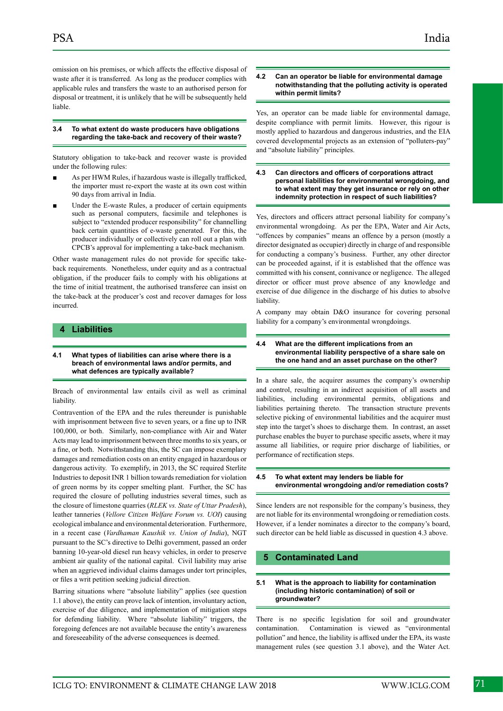omission on his premises, or which affects the effective disposal of waste after it is transferred. As long as the producer complies with applicable rules and transfers the waste to an authorised person for disposal or treatment, it is unlikely that he will be subsequently held liable.

#### **3.4 To what extent do waste producers have obligations regarding the take-back and recovery of their waste?**

Statutory obligation to take-back and recover waste is provided under the following rules:

- As per HWM Rules, if hazardous waste is illegally trafficked, the importer must re-export the waste at its own cost within 90 days from arrival in India.
- Under the E-waste Rules, a producer of certain equipments such as personal computers, facsimile and telephones is subject to "extended producer responsibility" for channelling back certain quantities of e-waste generated. For this, the producer individually or collectively can roll out a plan with CPCB's approval for implementing a take-back mechanism.

Other waste management rules do not provide for specific takeback requirements. Nonetheless, under equity and as a contractual obligation, if the producer fails to comply with his obligations at the time of initial treatment, the authorised transferee can insist on the take-back at the producer's cost and recover damages for loss incurred.

#### **4 Liabilities**

**4.1 What types of liabilities can arise where there is a breach of environmental laws and/or permits, and what defences are typically available?**

Breach of environmental law entails civil as well as criminal liability.

Contravention of the EPA and the rules thereunder is punishable with imprisonment between five to seven years, or a fine up to INR 100,000, or both. Similarly, non-compliance with Air and Water Acts may lead to imprisonment between three months to six years, or a fine, or both. Notwithstanding this, the SC can impose exemplary damages and remediation costs on an entity engaged in hazardous or dangerous activity. To exemplify, in 2013, the SC required Sterlite Industries to deposit INR 1 billion towards remediation for violation of green norms by its copper smelting plant. Further, the SC has required the closure of polluting industries several times, such as the closure of limestone quarries (*RLEK vs. State of Uttar Pradesh*), leather tanneries (*Vellore Citizen Welfare Forum vs. UOI*) causing ecological imbalance and environmental deterioration. Furthermore, in a recent case (*Vardhaman Kaushik vs. Union of India*), NGT pursuant to the SC's directive to Delhi government, passed an order banning 10-year-old diesel run heavy vehicles, in order to preserve ambient air quality of the national capital. Civil liability may arise when an aggrieved individual claims damages under tort principles, or files a writ petition seeking judicial direction.

Barring situations where "absolute liability" applies (see question 1.1 above), the entity can prove lack of intention, involuntary action, exercise of due diligence, and implementation of mitigation steps for defending liability. Where "absolute liability" triggers, the foregoing defences are not available because the entity's awareness and foreseeability of the adverse consequences is deemed.

#### **4.2 Can an operator be liable for environmental damage notwithstanding that the polluting activity is operated within permit limits?**

Yes, an operator can be made liable for environmental damage, despite compliance with permit limits. However, this rigour is mostly applied to hazardous and dangerous industries, and the EIA covered developmental projects as an extension of "polluters-pay" and "absolute liability" principles.

#### **4.3 Can directors and officers of corporations attract personal liabilities for environmental wrongdoing, and to what extent may they get insurance or rely on other indemnity protection in respect of such liabilities?**

Yes, directors and officers attract personal liability for company's environmental wrongdoing. As per the EPA, Water and Air Acts, "offences by companies" means an offence by a person (mostly a director designated as occupier) directly in charge of and responsible for conducting a company's business. Further, any other director can be proceeded against, if it is established that the offence was committed with his consent, connivance or negligence. The alleged director or officer must prove absence of any knowledge and exercise of due diligence in the discharge of his duties to absolve liability.

A company may obtain D&O insurance for covering personal liability for a company's environmental wrongdoings.

#### **4.4 What are the different implications from an environmental liability perspective of a share sale on the one hand and an asset purchase on the other?**

In a share sale, the acquirer assumes the company's ownership and control, resulting in an indirect acquisition of all assets and liabilities, including environmental permits, obligations and liabilities pertaining thereto. The transaction structure prevents selective picking of environmental liabilities and the acquirer must step into the target's shoes to discharge them. In contrast, an asset purchase enables the buyer to purchase specific assets, where it may assume all liabilities, or require prior discharge of liabilities, or performance of rectification steps.

#### **4.5 To what extent may lenders be liable for environmental wrongdoing and/or remediation costs?**

Since lenders are not responsible for the company's business, they are not liable for its environmental wrongdoing or remediation costs. However, if a lender nominates a director to the company's board, such director can be held liable as discussed in question 4.3 above.

#### **5 Contaminated Land**

#### **5.1 What is the approach to liability for contamination (including historic contamination) of soil or groundwater?**

There is no specific legislation for soil and groundwater contamination. Contamination is viewed as "environmental pollution" and hence, the liability is affixed under the EPA, its waste management rules (see question 3.1 above), and the Water Act.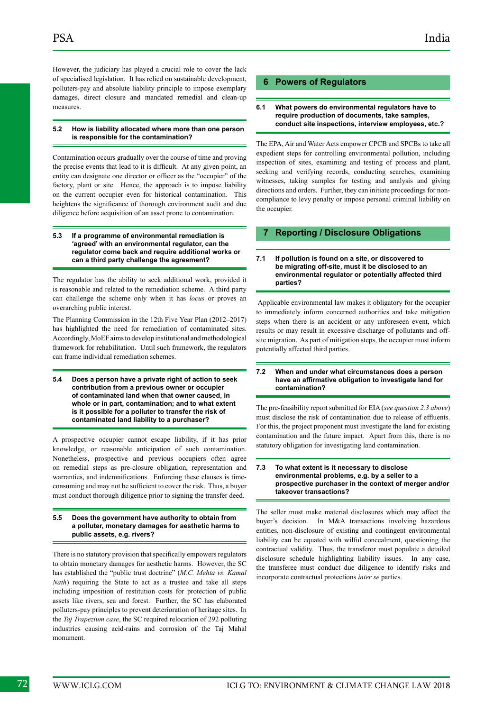However, the judiciary has played a crucial role to cover the lack of specialised legislation. It has relied on sustainable development, polluters-pay and absolute liability principle to impose exemplary damages, direct closure and mandated remedial and clean-up measures.

#### **5.2 How is liability allocated where more than one person is responsible for the contamination?**

Contamination occurs gradually over the course of time and proving the precise events that lead to it is difficult. At any given point, an entity can designate one director or officer as the "occupier" of the factory, plant or site. Hence, the approach is to impose liability on the current occupier even for historical contamination. This heightens the significance of thorough environment audit and due diligence before acquisition of an asset prone to contamination.

#### **5.3 If a programme of environmental remediation is 'agreed' with an environmental regulator, can the regulator come back and require additional works or can a third party challenge the agreement?**

The regulator has the ability to seek additional work, provided it is reasonable and related to the remediation scheme. A third party can challenge the scheme only when it has *locus* or proves an overarching public interest.

The Planning Commission in the 12th Five Year Plan (2012–2017) has highlighted the need for remediation of contaminated sites. Accordingly, MoEF aims to develop institutional and methodological framework for rehabilitation. Until such framework, the regulators can frame individual remediation schemes.

**5.4 Does a person have a private right of action to seek contribution from a previous owner or occupier of contaminated land when that owner caused, in whole or in part, contamination; and to what extent is it possible for a polluter to transfer the risk of contaminated land liability to a purchaser?**

A prospective occupier cannot escape liability, if it has prior knowledge, or reasonable anticipation of such contamination. Nonetheless, prospective and previous occupiers often agree on remedial steps as pre-closure obligation, representation and warranties, and indemnifications. Enforcing these clauses is timeconsuming and may not be sufficient to cover the risk. Thus, a buyer must conduct thorough diligence prior to signing the transfer deed.

#### **5.5 Does the government have authority to obtain from a polluter, monetary damages for aesthetic harms to public assets, e.g. rivers?**

There is no statutory provision that specifically empowers regulators to obtain monetary damages for aesthetic harms. However, the SC has established the "public trust doctrine" (*M.C. Mehta vs. Kamal Nath*) requiring the State to act as a trustee and take all steps including imposition of restitution costs for protection of public assets like rivers, sea and forest. Further, the SC has elaborated polluters-pay principles to prevent deterioration of heritage sites. In the *Taj Trapezium case*, the SC required relocation of 292 polluting industries causing acid-rains and corrosion of the Taj Mahal monument.

## **6 Powers of Regulators**

#### **6.1 What powers do environmental regulators have to require production of documents, take samples, conduct site inspections, interview employees, etc.?**

The EPA, Air and Water Acts empower CPCB and SPCBs to take all expedient steps for controlling environmental pollution, including inspection of sites, examining and testing of process and plant, seeking and verifying records, conducting searches, examining witnesses, taking samples for testing and analysis and giving directions and orders. Further, they can initiate proceedings for noncompliance to levy penalty or impose personal criminal liability on the occupier.

#### **7 Reporting / Disclosure Obligations**

#### **7.1 If pollution is found on a site, or discovered to be migrating off-site, must it be disclosed to an environmental regulator or potentially affected third parties?**

 Applicable environmental law makes it obligatory for the occupier to immediately inform concerned authorities and take mitigation steps when there is an accident or any unforeseen event, which results or may result in excessive discharge of pollutants and offsite migration. As part of mitigation steps, the occupier must inform potentially affected third parties.

#### **7.2 When and under what circumstances does a person have an affirmative obligation to investigate land for contamination?**

The pre-feasibility report submitted for EIA (*see question 2.3 above*) must disclose the risk of contamination due to release of effluents. For this, the project proponent must investigate the land for existing contamination and the future impact. Apart from this, there is no statutory obligation for investigating land contamination.

#### **7.3 To what extent is it necessary to disclose environmental problems, e.g. by a seller to a prospective purchaser in the context of merger and/or takeover transactions?**

The seller must make material disclosures which may affect the buyer's decision. In M&A transactions involving hazardous entities, non-disclosure of existing and contingent environmental liability can be equated with wilful concealment, questioning the contractual validity. Thus, the transferor must populate a detailed disclosure schedule highlighting liability issues. In any case, the transferee must conduct due diligence to identify risks and incorporate contractual protections *inter se* parties.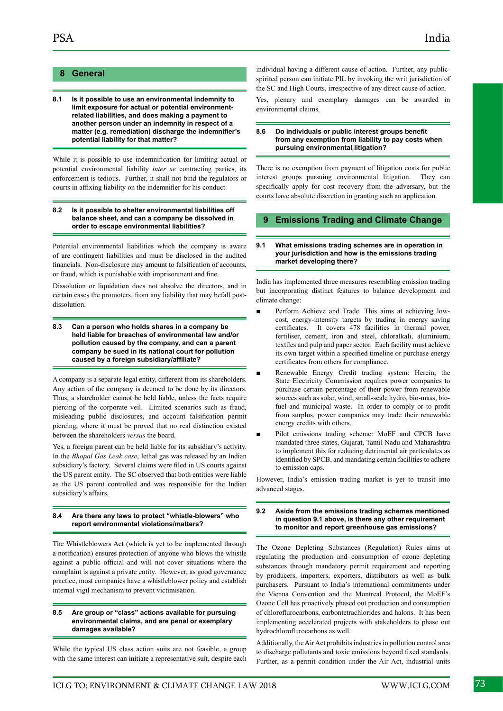#### **8 General**

**8.1 Is it possible to use an environmental indemnity to limit exposure for actual or potential environmentrelated liabilities, and does making a payment to another person under an indemnity in respect of a matter (e.g. remediation) discharge the indemnifier's potential liability for that matter?**

While it is possible to use indemnification for limiting actual or potential environmental liability *inter se* contracting parties, its enforcement is tedious. Further, it shall not bind the regulators or courts in affixing liability on the indemnifier for his conduct.

#### **8.2 Is it possible to shelter environmental liabilities off balance sheet, and can a company be dissolved in order to escape environmental liabilities?**

Potential environmental liabilities which the company is aware of are contingent liabilities and must be disclosed in the audited financials. Non-disclosure may amount to falsification of accounts, or fraud, which is punishable with imprisonment and fine.

Dissolution or liquidation does not absolve the directors, and in certain cases the promoters, from any liability that may befall postdissolution.

**8.3 Can a person who holds shares in a company be held liable for breaches of environmental law and/or pollution caused by the company, and can a parent company be sued in its national court for pollution caused by a foreign subsidiary/affiliate?**

A company is a separate legal entity, different from its shareholders. Any action of the company is deemed to be done by its directors. Thus, a shareholder cannot be held liable, unless the facts require piercing of the corporate veil. Limited scenarios such as fraud, misleading public disclosures, and account falsification permit piercing, where it must be proved that no real distinction existed between the shareholders *versus* the board.

Yes, a foreign parent can be held liable for its subsidiary's activity. In the *Bhopal Gas Leak case*, lethal gas was released by an Indian subsidiary's factory. Several claims were filed in US courts against the US parent entity. The SC observed that both entities were liable as the US parent controlled and was responsible for the Indian subsidiary's affairs.

#### **8.4 Are there any laws to protect "whistle-blowers" who report environmental violations/matters?**

The Whistleblowers Act (which is yet to be implemented through a notification) ensures protection of anyone who blows the whistle against a public official and will not cover situations where the complaint is against a private entity. However, as good governance practice, most companies have a whistleblower policy and establish internal vigil mechanism to prevent victimisation.

#### **8.5 Are group or "class" actions available for pursuing environmental claims, and are penal or exemplary damages available?**

While the typical US class action suits are not feasible, a group with the same interest can initiate a representative suit, despite each individual having a different cause of action. Further, any publicspirited person can initiate PIL by invoking the writ jurisdiction of the SC and High Courts, irrespective of any direct cause of action.

Yes, plenary and exemplary damages can be awarded in environmental claims.

#### **8.6 Do individuals or public interest groups benefit from any exemption from liability to pay costs when pursuing environmental litigation?**

There is no exemption from payment of litigation costs for public interest groups pursuing environmental litigation. They can specifically apply for cost recovery from the adversary, but the courts have absolute discretion in granting such an application.

#### **9 Emissions Trading and Climate Change**

#### **9.1 What emissions trading schemes are in operation in your jurisdiction and how is the emissions trading market developing there?**

India has implemented three measures resembling emission trading but incorporating distinct features to balance development and climate change:

- Perform Achieve and Trade: This aims at achieving lowcost, energy-intensity targets by trading in energy saving certificates. It covers 478 facilities in thermal power, fertiliser, cement, iron and steel, chloralkali, aluminium, textiles and pulp and paper sector. Each facility must achieve its own target within a specified timeline or purchase energy certificates from others for compliance.
- Renewable Energy Credit trading system: Herein, the State Electricity Commission requires power companies to purchase certain percentage of their power from renewable sources such as solar, wind, small-scale hydro, bio-mass, biofuel and municipal waste. In order to comply or to profit from surplus, power companies may trade their renewable energy credits with others.
- Pilot emissions trading scheme: MoEF and CPCB have mandated three states, Gujarat, Tamil Nadu and Maharashtra to implement this for reducing detrimental air particulates as identified by SPCB, and mandating certain facilities to adhere to emission caps.

However, India's emission trading market is yet to transit into advanced stages.

#### **9.2 Aside from the emissions trading schemes mentioned in question 9.1 above, is there any other requirement to monitor and report greenhouse gas emissions?**

The Ozone Depleting Substances (Regulation) Rules aims at regulating the production and consumption of ozone depleting substances through mandatory permit requirement and reporting by producers, importers, exporters, distributors as well as bulk purchasers. Pursuant to India's international commitments under the Vienna Convention and the Montreal Protocol, the MoEF's Ozone Cell has proactively phased out production and consumption of chloroflurocarbons, carbontetrachlorides and halons. It has been implementing accelerated projects with stakeholders to phase out hydrochloroflurocarbons as well.

Additionally, the Air Act prohibits industries in pollution control area to discharge pollutants and toxic emissions beyond fixed standards. Further, as a permit condition under the Air Act, industrial units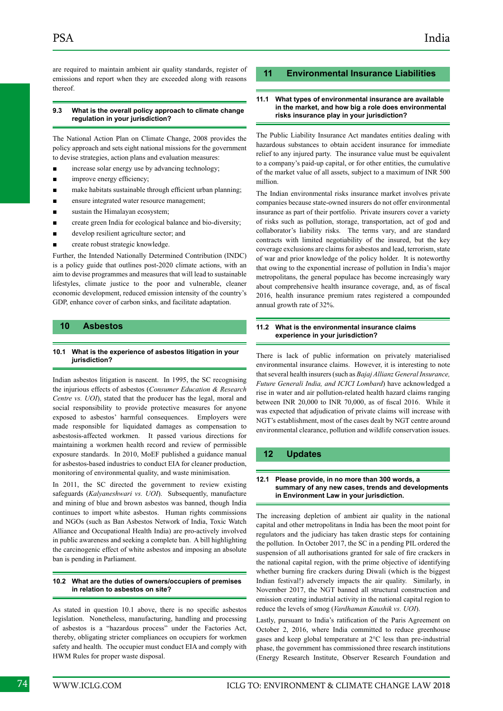are required to maintain ambient air quality standards, register of emissions and report when they are exceeded along with reasons thereof.

#### **9.3 What is the overall policy approach to climate change regulation in your jurisdiction?**

The National Action Plan on Climate Change, 2008 provides the policy approach and sets eight national missions for the government to devise strategies, action plans and evaluation measures:

- increase solar energy use by advancing technology;
- improve energy efficiency;
- make habitats sustainable through efficient urban planning;
- ensure integrated water resource management;
- sustain the Himalayan ecosystem;
- create green India for ecological balance and bio-diversity;
- develop resilient agriculture sector; and
- create robust strategic knowledge.

Further, the Intended Nationally Determined Contribution (INDC) is a policy guide that outlines post-2020 climate actions, with an aim to devise programmes and measures that will lead to sustainable lifestyles, climate justice to the poor and vulnerable, cleaner economic development, reduced emission intensity of the country's GDP, enhance cover of carbon sinks, and facilitate adaptation.

#### **10 Asbestos**

#### **10.1 What is the experience of asbestos litigation in your jurisdiction?**

Indian asbestos litigation is nascent. In 1995, the SC recognising the injurious effects of asbestos (*Consumer Education & Research Centre vs. UOI*), stated that the producer has the legal, moral and social responsibility to provide protective measures for anyone exposed to asbestos' harmful consequences. Employers were made responsible for liquidated damages as compensation to asbestosis-affected workmen. It passed various directions for maintaining a workmen health record and review of permissible exposure standards. In 2010, MoEF published a guidance manual for asbestos-based industries to conduct EIA for cleaner production, monitoring of environmental quality, and waste minimisation.

In 2011, the SC directed the government to review existing safeguards (*Kalyaneshwari vs. UOI*). Subsequently, manufacture and mining of blue and brown asbestos was banned, though India continues to import white asbestos. Human rights commissions and NGOs (such as Ban Asbestos Network of India, Toxic Watch Alliance and Occupational Health India) are pro-actively involved in public awareness and seeking a complete ban. A bill highlighting the carcinogenic effect of white asbestos and imposing an absolute ban is pending in Parliament.

#### **10.2 What are the duties of owners/occupiers of premises in relation to asbestos on site?**

As stated in question 10.1 above, there is no specific asbestos legislation. Nonetheless, manufacturing, handling and processing of asbestos is a "hazardous process" under the Factories Act, thereby, obligating stricter compliances on occupiers for workmen safety and health. The occupier must conduct EIA and comply with HWM Rules for proper waste disposal.

#### **11 Environmental Insurance Liabilities**

#### **11.1 What types of environmental insurance are available in the market, and how big a role does environmental risks insurance play in your jurisdiction?**

The Public Liability Insurance Act mandates entities dealing with hazardous substances to obtain accident insurance for immediate relief to any injured party. The insurance value must be equivalent to a company's paid-up capital, or for other entities, the cumulative of the market value of all assets, subject to a maximum of INR 500 million.

The Indian environmental risks insurance market involves private companies because state-owned insurers do not offer environmental insurance as part of their portfolio. Private insurers cover a variety of risks such as pollution, storage, transportation, act of god and collaborator's liability risks. The terms vary, and are standard contracts with limited negotiability of the insured, but the key coverage exclusions are claims for asbestos and lead, terrorism, state of war and prior knowledge of the policy holder. It is noteworthy that owing to the exponential increase of pollution in India's major metropolitans, the general populace has become increasingly wary about comprehensive health insurance coverage, and, as of fiscal 2016, health insurance premium rates registered a compounded annual growth rate of 32%.

#### **11.2 What is the environmental insurance claims experience in your jurisdiction?**

There is lack of public information on privately materialised environmental insurance claims. However, it is interesting to note that several health insurers (such as *Bajaj Allianz General Insurance, Future Generali India, and ICICI Lombard*) have acknowledged a rise in water and air pollution-related health hazard claims ranging between INR 20,000 to INR 70,000, as of fiscal 2016. While it was expected that adjudication of private claims will increase with NGT's establishment, most of the cases dealt by NGT centre around environmental clearance, pollution and wildlife conservation issues.

#### **12 Updates**

#### **12.1 Please provide, in no more than 300 words, a summary of any new cases, trends and developments in Environment Law in your jurisdiction.**

The increasing depletion of ambient air quality in the national capital and other metropolitans in India has been the moot point for regulators and the judiciary has taken drastic steps for containing the pollution. In October 2017, the SC in a pending PIL ordered the suspension of all authorisations granted for sale of fire crackers in the national capital region, with the prime objective of identifying whether burning fire crackers during Diwali (which is the biggest Indian festival!) adversely impacts the air quality. Similarly, in November 2017, the NGT banned all structural construction and emission creating industrial activity in the national capital region to reduce the levels of smog (*Vardhaman Kaushik vs. UOI*).

Lastly, pursuant to India's ratification of the Paris Agreement on October 2, 2016, where India committed to reduce greenhouse gases and keep global temperature at 2°C less than pre-industrial phase, the government has commissioned three research institutions (Energy Research Institute, Observer Research Foundation and